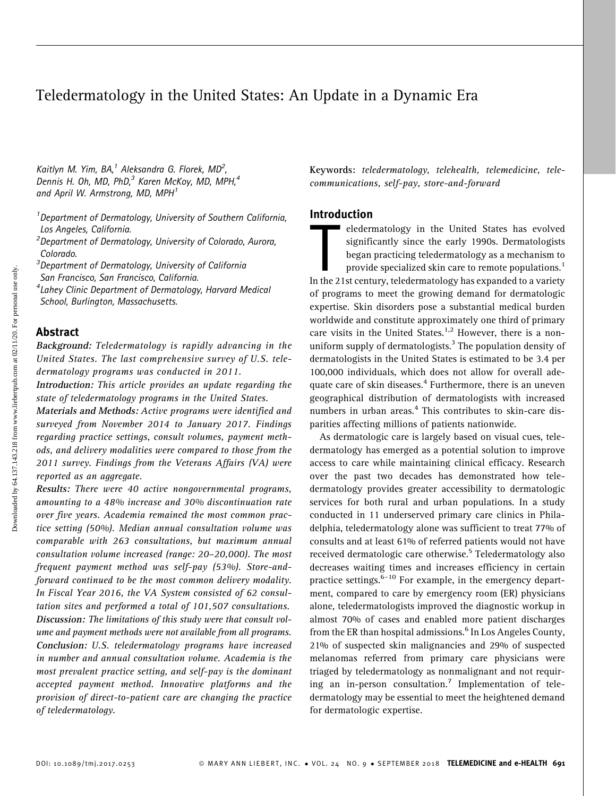# Teledermatology in the United States: An Update in a Dynamic Era

Kaitlyn M. Yim, BA,<sup>1</sup> Aleksandra G. Florek, MD<sup>2</sup>, Dennis H. Oh, MD, PhD,<sup>3</sup> Karen McKoy, MD, MPH,<sup>4</sup> and April W. Armstrong, MD, MPH<sup>1</sup>

<sup>1</sup> Department of Dermatology, University of Southern California, Los Angeles, California.

<sup>2</sup> Department of Dermatology, University of Colorado, Aurora, Colorado.

<sup>3</sup>Department of Dermatology, University of California

San Francisco, San Francisco, California.

4 Lahey Clinic Department of Dermatology, Harvard Medical School, Burlington, Massachusetts.

## Abstract

Background: Teledermatology is rapidly advancing in the United States. The last comprehensive survey of U.S. teledermatology programs was conducted in 2011.

Introduction: This article provides an update regarding the state of teledermatology programs in the United States.

Materials and Methods: Active programs were identified and surveyed from November 2014 to January 2017. Findings regarding practice settings, consult volumes, payment methods, and delivery modalities were compared to those from the 2011 survey. Findings from the Veterans Affairs (VA) were reported as an aggregate.

Results: There were 40 active nongovernmental programs, amounting to a 48% increase and 30% discontinuation rate over five years. Academia remained the most common practice setting (50%). Median annual consultation volume was comparable with 263 consultations, but maximum annual consultation volume increased (range: 20–20,000). The most frequent payment method was self-pay (53%). Store-andforward continued to be the most common delivery modality. In Fiscal Year 2016, the VA System consisted of 62 consultation sites and performed a total of 101,507 consultations. Discussion: The limitations of this study were that consult volume and payment methods were not available from all programs. Conclusion: U.S. teledermatology programs have increased in number and annual consultation volume. Academia is the most prevalent practice setting, and self-pay is the dominant accepted payment method. Innovative platforms and the provision of direct-to-patient care are changing the practice of teledermatology.

Keywords: teledermatology, telehealth, telemedicine, telecommunications, self-pay, store-and-forward

# Introduction

eledermatology in the United States has evolved<br>significantly since the early 1990s. Dermatologists<br>began practicing teledermatology as a mechanism to<br>provide specialized skin care to remote populations.<sup>1</sup><br>In the 21st cen eledermatology in the United States has evolved significantly since the early 1990s. Dermatologists began practicing teledermatology as a mechanism to provide specialized skin care to remote populations.<sup>1</sup> of programs to meet the growing demand for dermatologic expertise. Skin disorders pose a substantial medical burden worldwide and constitute approximately one third of primary care visits in the United States.<sup>1,2</sup> However, there is a nonuniform supply of dermatologists.<sup>3</sup> The population density of dermatologists in the United States is estimated to be 3.4 per 100,000 individuals, which does not allow for overall adequate care of skin diseases.<sup>4</sup> Furthermore, there is an uneven geographical distribution of dermatologists with increased numbers in urban areas.<sup>4</sup> This contributes to skin-care disparities affecting millions of patients nationwide.

As dermatologic care is largely based on visual cues, teledermatology has emerged as a potential solution to improve access to care while maintaining clinical efficacy. Research over the past two decades has demonstrated how teledermatology provides greater accessibility to dermatologic services for both rural and urban populations. In a study conducted in 11 underserved primary care clinics in Philadelphia, teledermatology alone was sufficient to treat 77% of consults and at least 61% of referred patients would not have received dermatologic care otherwise.<sup>5</sup> Teledermatology also decreases waiting times and increases efficiency in certain practice settings. $6-10$  For example, in the emergency department, compared to care by emergency room (ER) physicians alone, teledermatologists improved the diagnostic workup in almost 70% of cases and enabled more patient discharges from the ER than hospital admissions.<sup>6</sup> In Los Angeles County, 21% of suspected skin malignancies and 29% of suspected melanomas referred from primary care physicians were triaged by teledermatology as nonmalignant and not requiring an in-person consultation.<sup>7</sup> Implementation of teledermatology may be essential to meet the heightened demand for dermatologic expertise.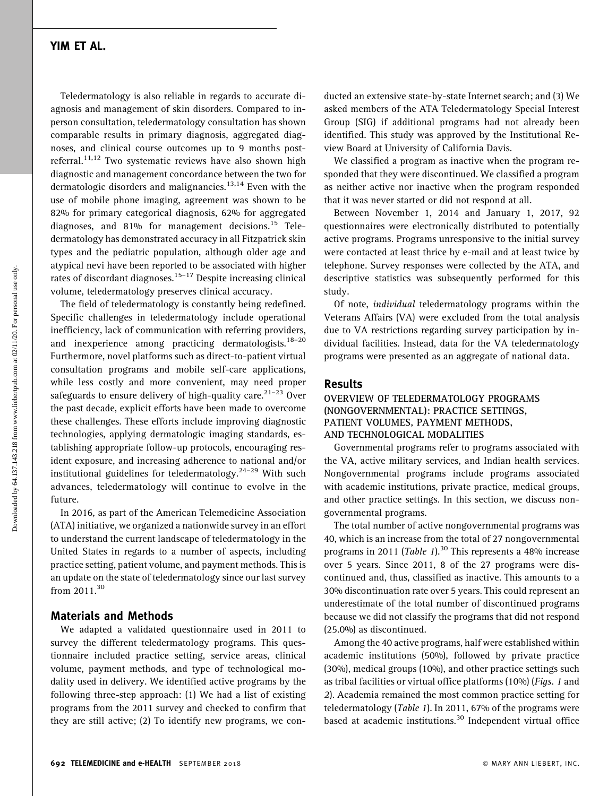# YIM ET AL.

Teledermatology is also reliable in regards to accurate diagnosis and management of skin disorders. Compared to inperson consultation, teledermatology consultation has shown comparable results in primary diagnosis, aggregated diagnoses, and clinical course outcomes up to 9 months postreferral.<sup>11,12</sup> Two systematic reviews have also shown high diagnostic and management concordance between the two for dermatologic disorders and malignancies.<sup>13,14</sup> Even with the use of mobile phone imaging, agreement was shown to be 82% for primary categorical diagnosis, 62% for aggregated diagnoses, and 81% for management decisions.<sup>15</sup> Teledermatology has demonstrated accuracy in all Fitzpatrick skin types and the pediatric population, although older age and atypical nevi have been reported to be associated with higher rates of discordant diagnoses.<sup>15–17</sup> Despite increasing clinical volume, teledermatology preserves clinical accuracy.

The field of teledermatology is constantly being redefined. Specific challenges in teledermatology include operational inefficiency, lack of communication with referring providers, and inexperience among practicing dermatologists. $18-20$ Furthermore, novel platforms such as direct-to-patient virtual consultation programs and mobile self-care applications, while less costly and more convenient, may need proper safeguards to ensure delivery of high-quality care.<sup>21–23</sup> Over the past decade, explicit efforts have been made to overcome these challenges. These efforts include improving diagnostic technologies, applying dermatologic imaging standards, establishing appropriate follow-up protocols, encouraging resident exposure, and increasing adherence to national and/or institutional guidelines for teledermatology.<sup>24-29</sup> With such advances, teledermatology will continue to evolve in the future.

In 2016, as part of the American Telemedicine Association (ATA) initiative, we organized a nationwide survey in an effort to understand the current landscape of teledermatology in the United States in regards to a number of aspects, including practice setting, patient volume, and payment methods. This is an update on the state of teledermatology since our last survey from 2011.<sup>30</sup>

## Materials and Methods

We adapted a validated questionnaire used in 2011 to survey the different teledermatology programs. This questionnaire included practice setting, service areas, clinical volume, payment methods, and type of technological modality used in delivery. We identified active programs by the following three-step approach: (1) We had a list of existing programs from the 2011 survey and checked to confirm that they are still active; (2) To identify new programs, we con-

ducted an extensive state-by-state Internet search; and (3) We asked members of the ATA Teledermatology Special Interest Group (SIG) if additional programs had not already been identified. This study was approved by the Institutional Review Board at University of California Davis.

We classified a program as inactive when the program responded that they were discontinued. We classified a program as neither active nor inactive when the program responded that it was never started or did not respond at all.

Between November 1, 2014 and January 1, 2017, 92 questionnaires were electronically distributed to potentially active programs. Programs unresponsive to the initial survey were contacted at least thrice by e-mail and at least twice by telephone. Survey responses were collected by the ATA, and descriptive statistics was subsequently performed for this study.

Of note, individual teledermatology programs within the Veterans Affairs (VA) were excluded from the total analysis due to VA restrictions regarding survey participation by individual facilities. Instead, data for the VA teledermatology programs were presented as an aggregate of national data.

### Results

### OVERVIEW OF TELEDERMATOLOGY PROGRAMS (NONGOVERNMENTAL): PRACTICE SETTINGS, PATIENT VOLUMES, PAYMENT METHODS, AND TECHNOLOGICAL MODALITIES

Governmental programs refer to programs associated with the VA, active military services, and Indian health services. Nongovernmental programs include programs associated with academic institutions, private practice, medical groups, and other practice settings. In this section, we discuss nongovernmental programs.

The total number of active nongovernmental programs was 40, which is an increase from the total of 27 nongovernmental programs in 2011 (Table 1).<sup>30</sup> This represents a 48% increase over 5 years. Since 2011, 8 of the 27 programs were discontinued and, thus, classified as inactive. This amounts to a 30% discontinuation rate over 5 years. This could represent an underestimate of the total number of discontinued programs because we did not classify the programs that did not respond (25.0%) as discontinued.

Among the 40 active programs, half were established within academic institutions (50%), followed by private practice (30%), medical groups (10%), and other practice settings such as tribal facilities or virtual office platforms (10%) (Figs. 1 and 2). Academia remained the most common practice setting for teledermatology (Table 1). In 2011, 67% of the programs were based at academic institutions.<sup>30</sup> Independent virtual office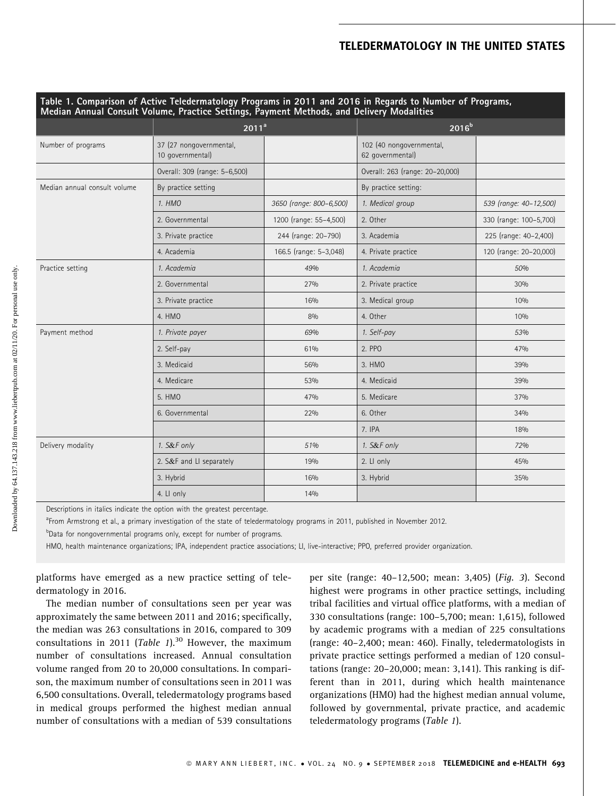# TELEDERMATOLOGY IN THE UNITED STATES

| Table 1. Comparison of Active Teledermatology Programs in 2011 and 2016 in Regards to Number of Programs,<br>Median Annual Consult Volume, Practice Settings, Payment Methods, and Delivery Modalities |                                             |                         |                                              |                        |
|--------------------------------------------------------------------------------------------------------------------------------------------------------------------------------------------------------|---------------------------------------------|-------------------------|----------------------------------------------|------------------------|
|                                                                                                                                                                                                        | 2011 <sup>a</sup>                           |                         | $2016^{b}$                                   |                        |
| Number of programs                                                                                                                                                                                     | 37 (27 nongovernmental,<br>10 governmental) |                         | 102 (40 nongovernmental,<br>62 governmental) |                        |
|                                                                                                                                                                                                        | Overall: 309 (range: 5-6,500)               |                         | Overall: 263 (range: 20-20,000)              |                        |
| Median annual consult volume                                                                                                                                                                           | By practice setting                         |                         | By practice setting:                         |                        |
|                                                                                                                                                                                                        | 1. HMO                                      | 3650 (range: 800-6,500) | 1. Medical group                             | 539 (range: 40-12,500) |
|                                                                                                                                                                                                        | 2. Governmental                             | 1200 (range: 55-4,500)  | 2. Other                                     | 330 (range: 100-5,700) |
|                                                                                                                                                                                                        | 3. Private practice                         | 244 (range: 20-790)     | 3. Academia                                  | 225 (range: 40-2,400)  |
|                                                                                                                                                                                                        | 4. Academia                                 | 166.5 (range: 5-3,048)  | 4. Private practice                          | 120 (range: 20-20,000) |
| Practice setting                                                                                                                                                                                       | 1. Academia                                 | 4.9%                    | 1. Academia                                  | 50%                    |
|                                                                                                                                                                                                        | 2. Governmental                             | 27%                     | 2. Private practice                          | 30%                    |
|                                                                                                                                                                                                        | 3. Private practice                         | 16%                     | 3. Medical group                             | 10%                    |
|                                                                                                                                                                                                        | 4. HMO                                      | 8%                      | 4. Other                                     | 10%                    |
| Payment method                                                                                                                                                                                         | 1. Private payer                            | 69%                     | 1. Self-pay                                  | 53%                    |
|                                                                                                                                                                                                        | 2. Self-pay                                 | 61%                     | 2. PPO                                       | 47%                    |
|                                                                                                                                                                                                        | 3. Medicaid                                 | 56%                     | 3. HMO                                       | 39%                    |
|                                                                                                                                                                                                        | 4. Medicare                                 | 53%                     | 4. Medicaid                                  | 39%                    |
|                                                                                                                                                                                                        | 5. HMO                                      | 47%                     | 5. Medicare                                  | 37%                    |
|                                                                                                                                                                                                        | 6. Governmental                             | 22%                     | 6. Other                                     | 34%                    |
|                                                                                                                                                                                                        |                                             |                         | 7. IPA                                       | 18%                    |
| Delivery modality                                                                                                                                                                                      | 1. S&F only                                 | 51%                     | 1. S&F only                                  | 72%                    |
|                                                                                                                                                                                                        | 2. S&F and LI separately                    | 19%                     | 2. Ll only                                   | 45%                    |
|                                                                                                                                                                                                        | 3. Hybrid                                   | 16%                     | 3. Hybrid                                    | 35%                    |
|                                                                                                                                                                                                        | 4. LI only                                  | 14%                     |                                              |                        |

Descriptions in italics indicate the option with the greatest percentage.

<sup>a</sup>From Armstrong et al., a primary investigation of the state of teledermatology programs in 2011, published in November 2012.

<sup>b</sup>Data for nongovernmental programs only, except for number of programs.

HMO, health maintenance organizations; IPA, independent practice associations; LI, live-interactive; PPO, preferred provider organization.

platforms have emerged as a new practice setting of teledermatology in 2016.

The median number of consultations seen per year was approximately the same between 2011 and 2016; specifically, the median was 263 consultations in 2016, compared to 309 consultations in 2011 (Table 1).<sup>30</sup> However, the maximum number of consultations increased. Annual consultation volume ranged from 20 to 20,000 consultations. In comparison, the maximum number of consultations seen in 2011 was 6,500 consultations. Overall, teledermatology programs based in medical groups performed the highest median annual number of consultations with a median of 539 consultations

per site (range: 40–12,500; mean: 3,405) (Fig. 3). Second highest were programs in other practice settings, including tribal facilities and virtual office platforms, with a median of 330 consultations (range: 100–5,700; mean: 1,615), followed by academic programs with a median of 225 consultations (range: 40–2,400; mean: 460). Finally, teledermatologists in private practice settings performed a median of 120 consultations (range: 20–20,000; mean: 3,141). This ranking is different than in 2011, during which health maintenance organizations (HMO) had the highest median annual volume, followed by governmental, private practice, and academic teledermatology programs (Table 1).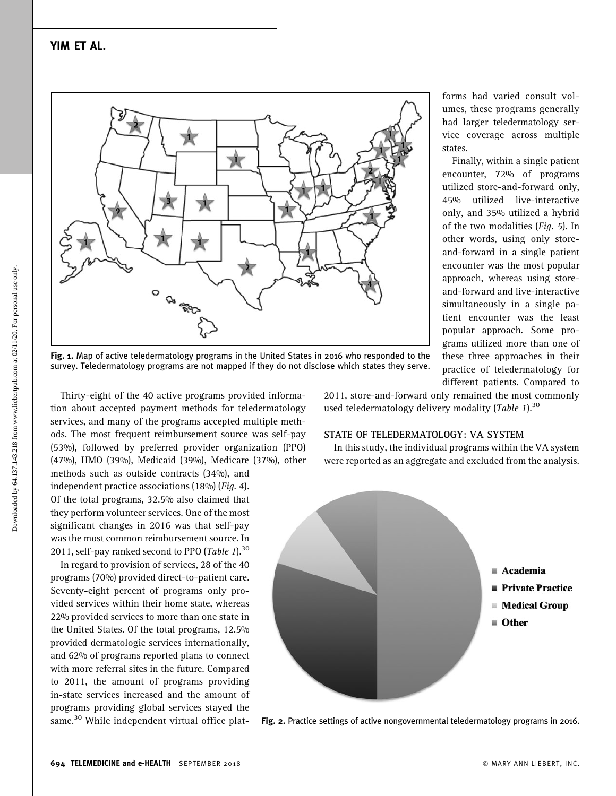

Fig. 1. Map of active teledermatology programs in the United States in 2016 who responded to the survey. Teledermatology programs are not mapped if they do not disclose which states they serve.

Thirty-eight of the 40 active programs provided information about accepted payment methods for teledermatology services, and many of the programs accepted multiple methods. The most frequent reimbursement source was self-pay (53%), followed by preferred provider organization (PPO) (47%), HMO (39%), Medicaid (39%), Medicare (37%), other

methods such as outside contracts (34%), and independent practice associations (18%) (Fig. 4). Of the total programs, 32.5% also claimed that they perform volunteer services. One of the most significant changes in 2016 was that self-pay was the most common reimbursement source. In 2011, self-pay ranked second to PPO (Table 1).<sup>30</sup>

In regard to provision of services, 28 of the 40 programs (70%) provided direct-to-patient care. Seventy-eight percent of programs only provided services within their home state, whereas 22% provided services to more than one state in the United States. Of the total programs, 12.5% provided dermatologic services internationally, and 62% of programs reported plans to connect with more referral sites in the future. Compared to 2011, the amount of programs providing in-state services increased and the amount of programs providing global services stayed the same.<sup>30</sup> While independent virtual office plat2011, store-and-forward only remained the most commonly used teledermatology delivery modality (*Table 1*).<sup>30</sup>

#### STATE OF TELEDERMATOLOGY: VA SYSTEM

In this study, the individual programs within the VA system were reported as an aggregate and excluded from the analysis.



Fig. 2. Practice settings of active nongovernmental teledermatology programs in 2016.

forms had varied consult volumes, these programs generally had larger teledermatology service coverage across multiple states.

Finally, within a single patient encounter, 72% of programs utilized store-and-forward only, 45% utilized live-interactive only, and 35% utilized a hybrid of the two modalities (Fig. 5). In other words, using only storeand-forward in a single patient encounter was the most popular approach, whereas using storeand-forward and live-interactive simultaneously in a single patient encounter was the least popular approach. Some programs utilized more than one of these three approaches in their practice of teledermatology for different patients. Compared to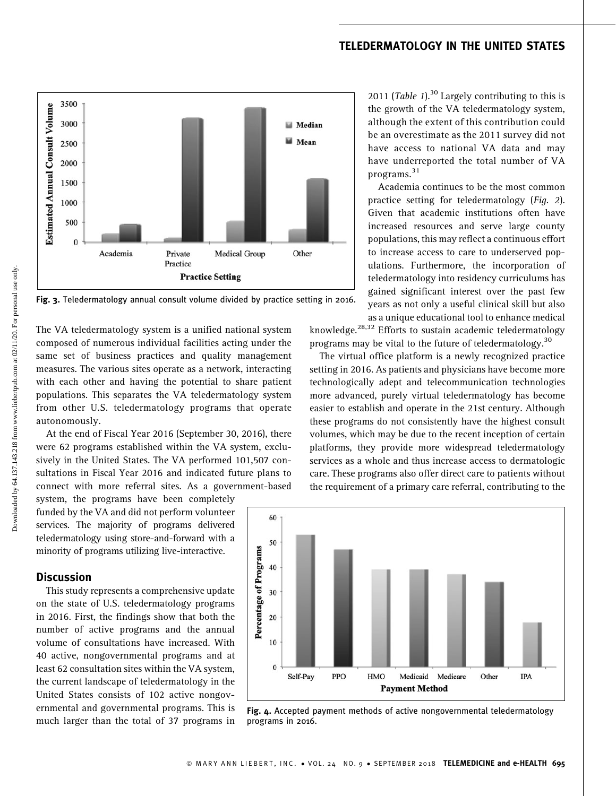# TELEDERMATOLOGY IN THE UNITED STATES



Fig. 3. Teledermatology annual consult volume divided by practice setting in 2016.

The VA teledermatology system is a unified national system composed of numerous individual facilities acting under the same set of business practices and quality management measures. The various sites operate as a network, interacting with each other and having the potential to share patient populations. This separates the VA teledermatology system from other U.S. teledermatology programs that operate autonomously.

At the end of Fiscal Year 2016 (September 30, 2016), there were 62 programs established within the VA system, exclusively in the United States. The VA performed 101,507 consultations in Fiscal Year 2016 and indicated future plans to connect with more referral sites. As a government-based

system, the programs have been completely funded by the VA and did not perform volunteer services. The majority of programs delivered teledermatology using store-and-forward with a minority of programs utilizing live-interactive.

## **Discussion**

This study represents a comprehensive update on the state of U.S. teledermatology programs in 2016. First, the findings show that both the number of active programs and the annual volume of consultations have increased. With 40 active, nongovernmental programs and at least 62 consultation sites within the VA system, the current landscape of teledermatology in the United States consists of 102 active nongovernmental and governmental programs. This is much larger than the total of 37 programs in 2011 (*Table 1*).<sup>30</sup> Largely contributing to this is the growth of the VA teledermatology system, although the extent of this contribution could be an overestimate as the 2011 survey did not have access to national VA data and may have underreported the total number of VA programs.<sup>31</sup>

Academia continues to be the most common practice setting for teledermatology (Fig. 2). Given that academic institutions often have increased resources and serve large county populations, this may reflect a continuous effort to increase access to care to underserved populations. Furthermore, the incorporation of teledermatology into residency curriculums has gained significant interest over the past few years as not only a useful clinical skill but also as a unique educational tool to enhance medical

knowledge. $28,32$  Efforts to sustain academic teledermatology programs may be vital to the future of teledermatology.<sup>30</sup>

The virtual office platform is a newly recognized practice setting in 2016. As patients and physicians have become more technologically adept and telecommunication technologies more advanced, purely virtual teledermatology has become easier to establish and operate in the 21st century. Although these programs do not consistently have the highest consult volumes, which may be due to the recent inception of certain platforms, they provide more widespread teledermatology services as a whole and thus increase access to dermatologic care. These programs also offer direct care to patients without the requirement of a primary care referral, contributing to the



Fig. 4. Accepted payment methods of active nongovernmental teledermatology programs in 2016.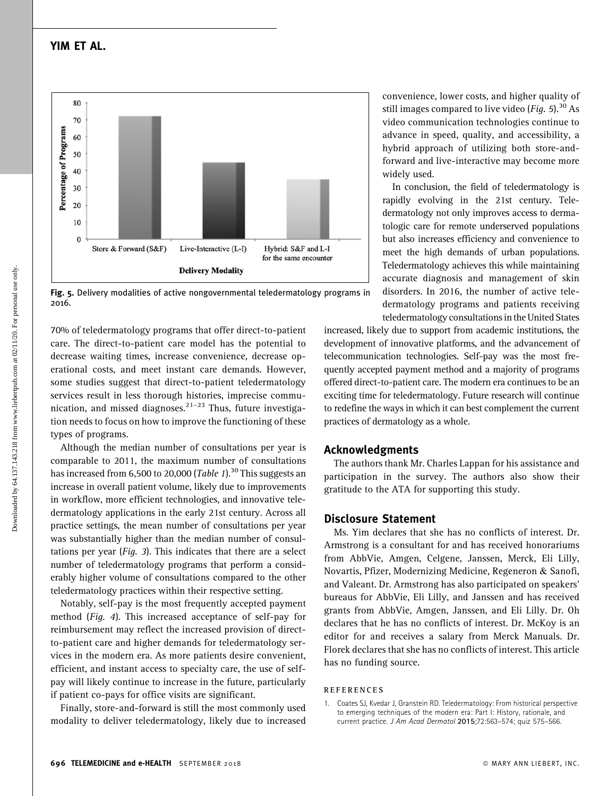# YIM ET AL.

Fig. 5. Delivery modalities of active nongovernmental teledermatology programs in 2016.

70% of teledermatology programs that offer direct-to-patient care. The direct-to-patient care model has the potential to decrease waiting times, increase convenience, decrease operational costs, and meet instant care demands. However, some studies suggest that direct-to-patient teledermatology services result in less thorough histories, imprecise communication, and missed diagnoses. $2^{1-23}$  Thus, future investigation needs to focus on how to improve the functioning of these types of programs.

Although the median number of consultations per year is comparable to 2011, the maximum number of consultations has increased from 6,500 to 20,000 (Table 1).<sup>30</sup> This suggests an increase in overall patient volume, likely due to improvements in workflow, more efficient technologies, and innovative teledermatology applications in the early 21st century. Across all practice settings, the mean number of consultations per year was substantially higher than the median number of consultations per year (Fig. 3). This indicates that there are a select number of teledermatology programs that perform a considerably higher volume of consultations compared to the other teledermatology practices within their respective setting.

Notably, self-pay is the most frequently accepted payment method (Fig. 4). This increased acceptance of self-pay for reimbursement may reflect the increased provision of directto-patient care and higher demands for teledermatology services in the modern era. As more patients desire convenient, efficient, and instant access to specialty care, the use of selfpay will likely continue to increase in the future, particularly if patient co-pays for office visits are significant.

Finally, store-and-forward is still the most commonly used modality to deliver teledermatology, likely due to increased

convenience, lower costs, and higher quality of still images compared to live video (*Fig.* 5).<sup>30</sup> As video communication technologies continue to advance in speed, quality, and accessibility, a hybrid approach of utilizing both store-andforward and live-interactive may become more widely used.

In conclusion, the field of teledermatology is rapidly evolving in the 21st century. Teledermatology not only improves access to dermatologic care for remote underserved populations but also increases efficiency and convenience to meet the high demands of urban populations. Teledermatology achieves this while maintaining accurate diagnosis and management of skin disorders. In 2016, the number of active teledermatology programs and patients receiving teledermatology consultationsin the United States

increased, likely due to support from academic institutions, the development of innovative platforms, and the advancement of telecommunication technologies. Self-pay was the most frequently accepted payment method and a majority of programs offered direct-to-patient care. The modern era continues to be an exciting time for teledermatology. Future research will continue to redefine the ways in which it can best complement the current practices of dermatology as a whole.

## Acknowledgments

The authors thank Mr. Charles Lappan for his assistance and participation in the survey. The authors also show their gratitude to the ATA for supporting this study.

# Disclosure Statement

Ms. Yim declares that she has no conflicts of interest. Dr. Armstrong is a consultant for and has received honorariums from AbbVie, Amgen, Celgene, Janssen, Merck, Eli Lilly, Novartis, Pfizer, Modernizing Medicine, Regeneron & Sanofi, and Valeant. Dr. Armstrong has also participated on speakers' bureaus for AbbVie, Eli Lilly, and Janssen and has received grants from AbbVie, Amgen, Janssen, and Eli Lilly. Dr. Oh declares that he has no conflicts of interest. Dr. McKoy is an editor for and receives a salary from Merck Manuals. Dr. Florek declares that she has no conflicts of interest. This article has no funding source.

#### **REFERENCES**

1. Coates SJ, Kvedar J, Granstein RD. Teledermatology: From historical perspective to emerging techniques of the modern era: Part I: History, rationale, and current practice. J Am Acad Dermatol 2015;72:563–574; quiz 575–566.